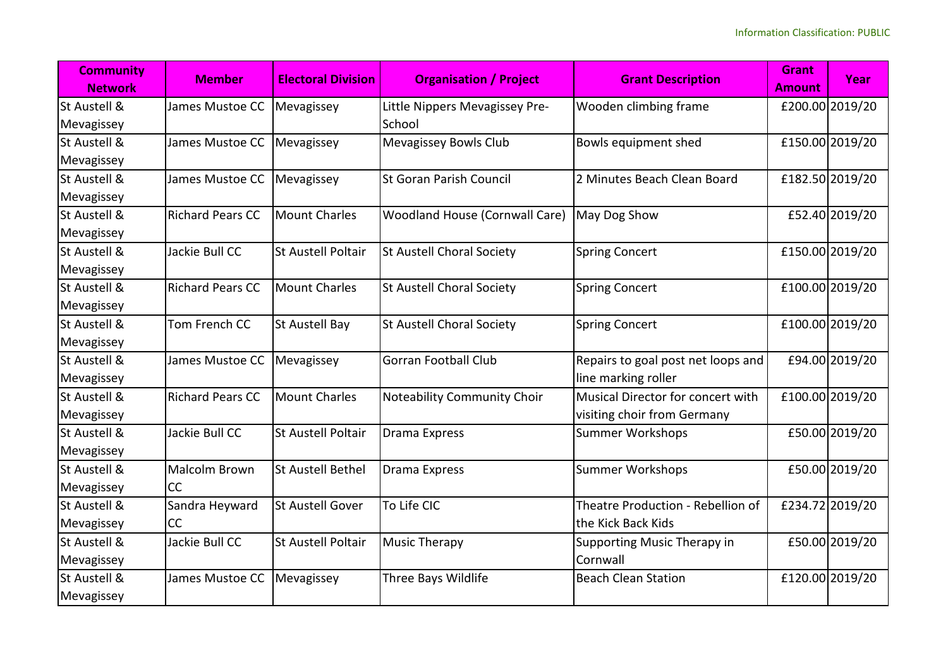| <b>Community</b><br><b>Network</b> | <b>Member</b>           | <b>Electoral Division</b> | <b>Organisation / Project</b>         | <b>Grant Description</b>           | <b>Grant</b><br><b>Amount</b> | Year            |
|------------------------------------|-------------------------|---------------------------|---------------------------------------|------------------------------------|-------------------------------|-----------------|
| <b>St Austell &amp;</b>            | James Mustoe CC         | Mevagissey                | Little Nippers Mevagissey Pre-        | Wooden climbing frame              |                               | £200.00 2019/20 |
| Mevagissey                         |                         |                           | School                                |                                    |                               |                 |
| St Austell &                       | James Mustoe CC         | Mevagissey                | <b>Mevagissey Bowls Club</b>          | Bowls equipment shed               |                               | £150.00 2019/20 |
| Mevagissey                         |                         |                           |                                       |                                    |                               |                 |
| St Austell &                       | James Mustoe CC         | Mevagissey                | <b>St Goran Parish Council</b>        | 2 Minutes Beach Clean Board        |                               | £182.50 2019/20 |
| Mevagissey                         |                         |                           |                                       |                                    |                               |                 |
| <b>St Austell &amp;</b>            | <b>Richard Pears CC</b> | <b>Mount Charles</b>      | <b>Woodland House (Cornwall Care)</b> | May Dog Show                       |                               | £52.40 2019/20  |
| Mevagissey                         |                         |                           |                                       |                                    |                               |                 |
| St Austell &                       | Jackie Bull CC          | <b>St Austell Poltair</b> | <b>St Austell Choral Society</b>      | <b>Spring Concert</b>              |                               | £150.00 2019/20 |
| Mevagissey                         |                         |                           |                                       |                                    |                               |                 |
| St Austell &                       | <b>Richard Pears CC</b> | <b>Mount Charles</b>      | <b>St Austell Choral Society</b>      | <b>Spring Concert</b>              |                               | £100.00 2019/20 |
| Mevagissey                         |                         |                           |                                       |                                    |                               |                 |
| St Austell &                       | Tom French CC           | St Austell Bay            | <b>St Austell Choral Society</b>      | <b>Spring Concert</b>              |                               | £100.00 2019/20 |
| Mevagissey                         |                         |                           |                                       |                                    |                               |                 |
| St Austell &                       | James Mustoe CC         | Mevagissey                | <b>Gorran Football Club</b>           | Repairs to goal post net loops and |                               | £94.00 2019/20  |
| Mevagissey                         |                         |                           |                                       | line marking roller                |                               |                 |
| St Austell &                       | <b>Richard Pears CC</b> | <b>Mount Charles</b>      | Noteability Community Choir           | Musical Director for concert with  |                               | £100.00 2019/20 |
| Mevagissey                         |                         |                           |                                       | visiting choir from Germany        |                               |                 |
| St Austell &                       | Jackie Bull CC          | <b>St Austell Poltair</b> | Drama Express                         | <b>Summer Workshops</b>            |                               | £50.00 2019/20  |
| Mevagissey                         |                         |                           |                                       |                                    |                               |                 |
| St Austell &                       | Malcolm Brown           | <b>St Austell Bethel</b>  | Drama Express                         | <b>Summer Workshops</b>            |                               | £50.00 2019/20  |
| Mevagissey                         | <b>CC</b>               |                           |                                       |                                    |                               |                 |
| St Austell &                       | Sandra Heyward          | <b>St Austell Gover</b>   | To Life CIC                           | Theatre Production - Rebellion of  |                               | £234.72 2019/20 |
| Mevagissey                         | <b>CC</b>               |                           |                                       | the Kick Back Kids                 |                               |                 |
| St Austell &                       | Jackie Bull CC          | <b>St Austell Poltair</b> | Music Therapy                         | Supporting Music Therapy in        |                               | £50.00 2019/20  |
| Mevagissey                         |                         |                           |                                       | Cornwall                           |                               |                 |
| St Austell &                       | James Mustoe CC         | Mevagissey                | Three Bays Wildlife                   | <b>Beach Clean Station</b>         |                               | £120.00 2019/20 |
| Mevagissey                         |                         |                           |                                       |                                    |                               |                 |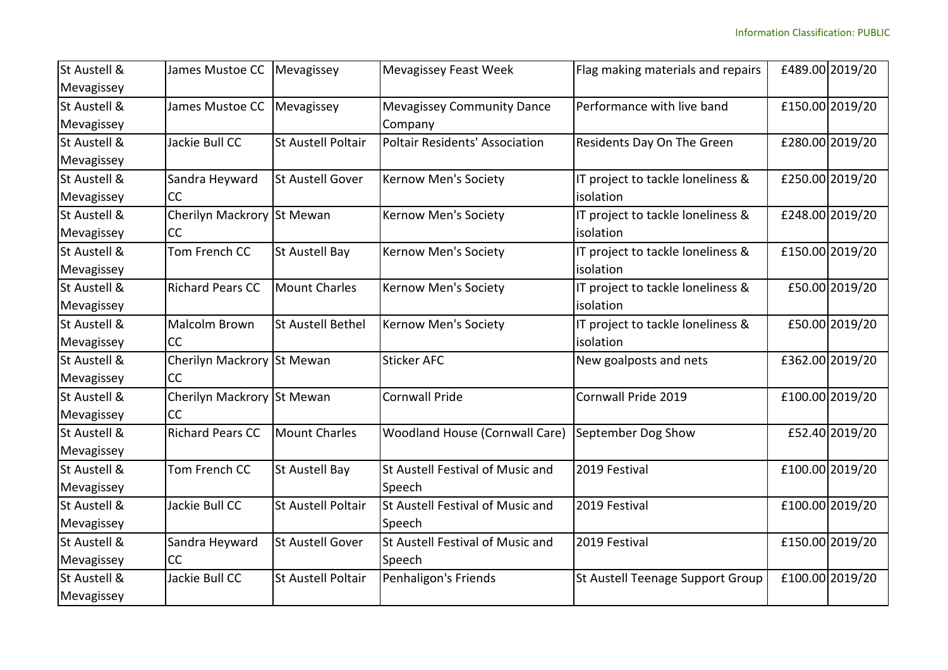| St Austell & | James Mustoe CC            | Mevagissey                | <b>Mevagissey Feast Week</b>          | Flag making materials and repairs | £489.00 2019/20 |
|--------------|----------------------------|---------------------------|---------------------------------------|-----------------------------------|-----------------|
| Mevagissey   |                            |                           |                                       |                                   |                 |
| St Austell & | James Mustoe CC            | Mevagissey                | <b>Mevagissey Community Dance</b>     | Performance with live band        | £150.00 2019/20 |
| Mevagissey   |                            |                           | Company                               |                                   |                 |
| St Austell & | Jackie Bull CC             | <b>St Austell Poltair</b> | <b>Poltair Residents' Association</b> | Residents Day On The Green        | £280.00 2019/20 |
| Mevagissey   |                            |                           |                                       |                                   |                 |
| St Austell & | Sandra Heyward             | <b>St Austell Gover</b>   | Kernow Men's Society                  | IT project to tackle loneliness & | £250.00 2019/20 |
| Mevagissey   | <b>CC</b>                  |                           |                                       | isolation                         |                 |
| St Austell & | Cherilyn Mackrory St Mewan |                           | <b>Kernow Men's Society</b>           | IT project to tackle loneliness & | £248.00 2019/20 |
| Mevagissey   | <b>CC</b>                  |                           |                                       | isolation                         |                 |
| St Austell & | Tom French CC              | <b>St Austell Bay</b>     | Kernow Men's Society                  | IT project to tackle loneliness & | £150.00 2019/20 |
| Mevagissey   |                            |                           |                                       | isolation                         |                 |
| St Austell & | <b>Richard Pears CC</b>    | <b>Mount Charles</b>      | Kernow Men's Society                  | IT project to tackle loneliness & | £50.00 2019/20  |
| Mevagissey   |                            |                           |                                       | isolation                         |                 |
| St Austell & | <b>Malcolm Brown</b>       | <b>St Austell Bethel</b>  | Kernow Men's Society                  | IT project to tackle loneliness & | £50.00 2019/20  |
| Mevagissey   | <b>CC</b>                  |                           |                                       | isolation                         |                 |
| St Austell & | Cherilyn Mackrory St Mewan |                           | <b>Sticker AFC</b>                    | New goalposts and nets            | £362.00 2019/20 |
| Mevagissey   | <b>CC</b>                  |                           |                                       |                                   |                 |
| St Austell & | Cherilyn Mackrory St Mewan |                           | <b>Cornwall Pride</b>                 | Cornwall Pride 2019               | £100.00 2019/20 |
| Mevagissey   | <b>CC</b>                  |                           |                                       |                                   |                 |
| St Austell & | <b>Richard Pears CC</b>    | <b>Mount Charles</b>      | <b>Woodland House (Cornwall Care)</b> | September Dog Show                | £52.40 2019/20  |
| Mevagissey   |                            |                           |                                       |                                   |                 |
| St Austell & | Tom French CC              | <b>St Austell Bay</b>     | St Austell Festival of Music and      | 2019 Festival                     | £100.00 2019/20 |
| Mevagissey   |                            |                           | Speech                                |                                   |                 |
| St Austell & | Jackie Bull CC             | <b>St Austell Poltair</b> | St Austell Festival of Music and      | 2019 Festival                     | £100.00 2019/20 |
| Mevagissey   |                            |                           | Speech                                |                                   |                 |
| St Austell & | Sandra Heyward             | <b>St Austell Gover</b>   | St Austell Festival of Music and      | 2019 Festival                     | £150.00 2019/20 |
| Mevagissey   | <b>CC</b>                  |                           | Speech                                |                                   |                 |
| St Austell & | Jackie Bull CC             | <b>St Austell Poltair</b> | Penhaligon's Friends                  | St Austell Teenage Support Group  | £100.00 2019/20 |
| Mevagissey   |                            |                           |                                       |                                   |                 |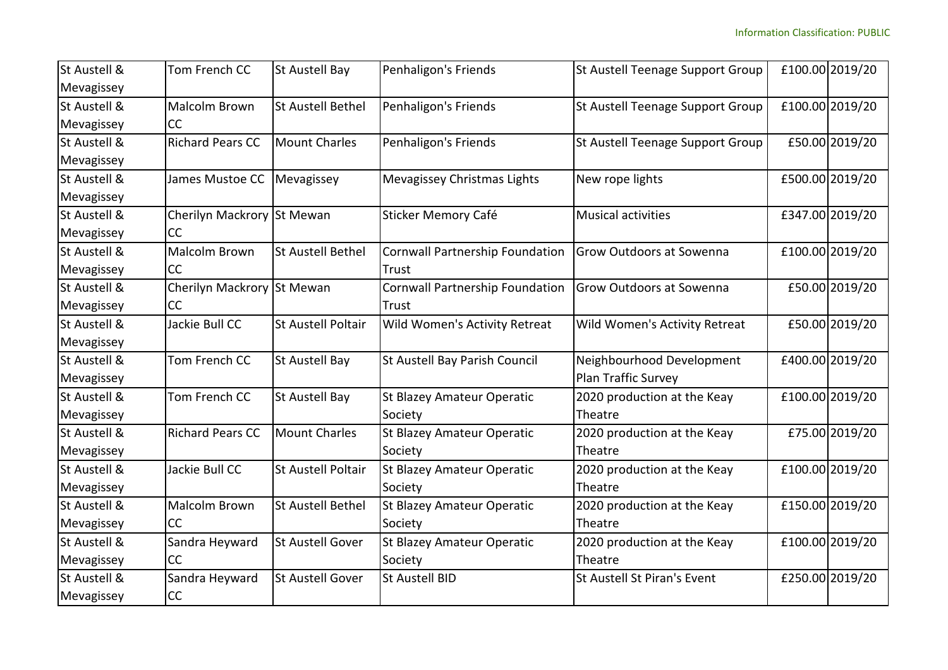| St Austell &            | Tom French CC              | <b>St Austell Bay</b>     | Penhaligon's Friends              | St Austell Teenage Support Group | £100.00 2019/20 |
|-------------------------|----------------------------|---------------------------|-----------------------------------|----------------------------------|-----------------|
| Mevagissey              |                            |                           |                                   |                                  |                 |
| <b>St Austell &amp;</b> | Malcolm Brown              | <b>St Austell Bethel</b>  | Penhaligon's Friends              | St Austell Teenage Support Group | £100.00 2019/20 |
| Mevagissey              | <b>CC</b>                  |                           |                                   |                                  |                 |
| St Austell &            | <b>Richard Pears CC</b>    | <b>Mount Charles</b>      | Penhaligon's Friends              | St Austell Teenage Support Group | £50.00 2019/20  |
| Mevagissey              |                            |                           |                                   |                                  |                 |
| <b>St Austell &amp;</b> | James Mustoe CC            | Mevagissey                | Mevagissey Christmas Lights       | New rope lights                  | £500.00 2019/20 |
| Mevagissey              |                            |                           |                                   |                                  |                 |
| St Austell &            | Cherilyn Mackrory St Mewan |                           | Sticker Memory Café               | <b>Musical activities</b>        | £347.00 2019/20 |
| Mevagissey              | <b>CC</b>                  |                           |                                   |                                  |                 |
| <b>St Austell &amp;</b> | <b>Malcolm Brown</b>       | <b>St Austell Bethel</b>  | Cornwall Partnership Foundation   | <b>Grow Outdoors at Sowenna</b>  | £100.00 2019/20 |
| Mevagissey              | <b>CC</b>                  |                           | Trust                             |                                  |                 |
| <b>St Austell &amp;</b> | Cherilyn Mackrory St Mewan |                           | Cornwall Partnership Foundation   | <b>Grow Outdoors at Sowenna</b>  | £50.00 2019/20  |
| Mevagissey              | <b>CC</b>                  |                           | Trust                             |                                  |                 |
| St Austell &            | Jackie Bull CC             | <b>St Austell Poltair</b> | Wild Women's Activity Retreat     | Wild Women's Activity Retreat    | £50.00 2019/20  |
| Mevagissey              |                            |                           |                                   |                                  |                 |
| St Austell &            | Tom French CC              | <b>St Austell Bay</b>     | St Austell Bay Parish Council     | Neighbourhood Development        | £400.00 2019/20 |
| Mevagissey              |                            |                           |                                   | Plan Traffic Survey              |                 |
| <b>St Austell &amp;</b> | Tom French CC              | <b>St Austell Bay</b>     | <b>St Blazey Amateur Operatic</b> | 2020 production at the Keay      | £100.00 2019/20 |
| Mevagissey              |                            |                           | Society                           | Theatre                          |                 |
| <b>St Austell &amp;</b> | <b>Richard Pears CC</b>    | <b>Mount Charles</b>      | <b>St Blazey Amateur Operatic</b> | 2020 production at the Keay      | £75.00 2019/20  |
| Mevagissey              |                            |                           | Society                           | Theatre                          |                 |
| St Austell &            | Jackie Bull CC             | <b>St Austell Poltair</b> | <b>St Blazey Amateur Operatic</b> | 2020 production at the Keay      | £100.00 2019/20 |
| Mevagissey              |                            |                           | Society                           | Theatre                          |                 |
| St Austell &            | Malcolm Brown              | <b>St Austell Bethel</b>  | <b>St Blazey Amateur Operatic</b> | 2020 production at the Keay      | £150.00 2019/20 |
| Mevagissey              | <b>CC</b>                  |                           | Society                           | Theatre                          |                 |
| <b>St Austell &amp;</b> | Sandra Heyward             | <b>St Austell Gover</b>   | St Blazey Amateur Operatic        | 2020 production at the Keay      | £100.00 2019/20 |
| Mevagissey              | <b>CC</b>                  |                           | Society                           | Theatre                          |                 |
| <b>St Austell &amp;</b> | Sandra Heyward             | <b>St Austell Gover</b>   | <b>St Austell BID</b>             | St Austell St Piran's Event      | £250.00 2019/20 |
| Mevagissey              | <b>CC</b>                  |                           |                                   |                                  |                 |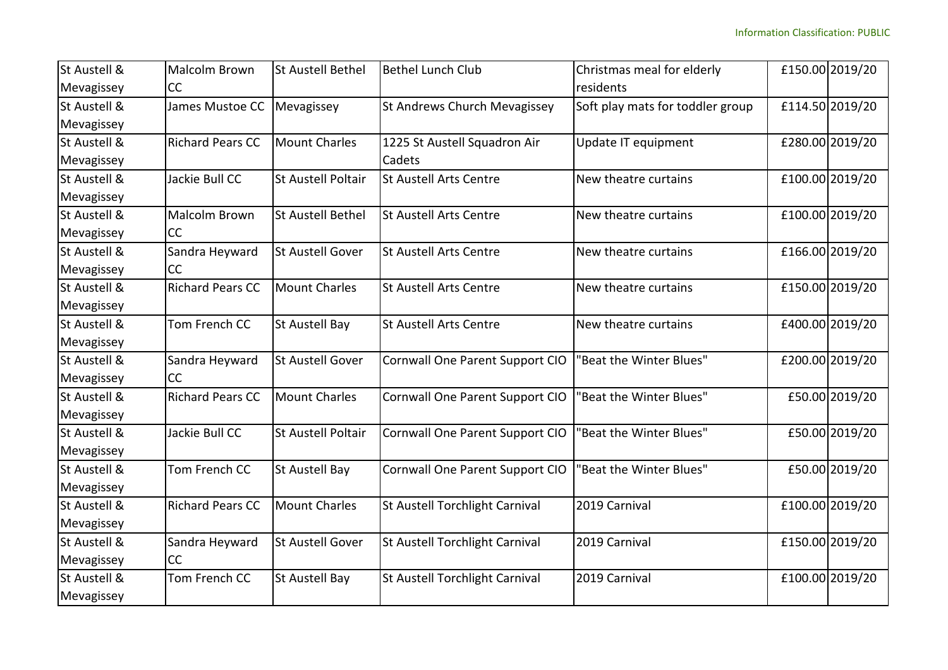| St Austell & | Malcolm Brown           | <b>St Austell Bethel</b>  | <b>Bethel Lunch Club</b>        | Christmas meal for elderly       | £150.00 2019/20 |
|--------------|-------------------------|---------------------------|---------------------------------|----------------------------------|-----------------|
| Mevagissey   | <b>CC</b>               |                           |                                 | residents                        |                 |
| St Austell & | James Mustoe CC         | Mevagissey                | St Andrews Church Mevagissey    | Soft play mats for toddler group | £114.50 2019/20 |
| Mevagissey   |                         |                           |                                 |                                  |                 |
| St Austell & | <b>Richard Pears CC</b> | <b>Mount Charles</b>      | 1225 St Austell Squadron Air    | Update IT equipment              | £280.00 2019/20 |
| Mevagissey   |                         |                           | Cadets                          |                                  |                 |
| St Austell & | Jackie Bull CC          | <b>St Austell Poltair</b> | <b>St Austell Arts Centre</b>   | New theatre curtains             | £100.00 2019/20 |
| Mevagissey   |                         |                           |                                 |                                  |                 |
| St Austell & | <b>Malcolm Brown</b>    | <b>St Austell Bethel</b>  | <b>St Austell Arts Centre</b>   | New theatre curtains             | £100.00 2019/20 |
| Mevagissey   | <b>CC</b>               |                           |                                 |                                  |                 |
| St Austell & | Sandra Heyward          | <b>St Austell Gover</b>   | <b>St Austell Arts Centre</b>   | New theatre curtains             | £166.00 2019/20 |
| Mevagissey   | <b>CC</b>               |                           |                                 |                                  |                 |
| St Austell & | <b>Richard Pears CC</b> | <b>Mount Charles</b>      | <b>St Austell Arts Centre</b>   | New theatre curtains             | £150.00 2019/20 |
| Mevagissey   |                         |                           |                                 |                                  |                 |
| St Austell & | Tom French CC           | <b>St Austell Bay</b>     | <b>St Austell Arts Centre</b>   | New theatre curtains             | £400.00 2019/20 |
| Mevagissey   |                         |                           |                                 |                                  |                 |
| St Austell & | Sandra Heyward          | <b>St Austell Gover</b>   | Cornwall One Parent Support CIO | "Beat the Winter Blues"          | £200.00 2019/20 |
| Mevagissey   | <b>CC</b>               |                           |                                 |                                  |                 |
| St Austell & | <b>Richard Pears CC</b> | <b>Mount Charles</b>      | Cornwall One Parent Support CIO | "Beat the Winter Blues"          | £50.00 2019/20  |
| Mevagissey   |                         |                           |                                 |                                  |                 |
| St Austell & | Jackie Bull CC          | <b>St Austell Poltair</b> | Cornwall One Parent Support CIO | "Beat the Winter Blues"          | £50.00 2019/20  |
| Mevagissey   |                         |                           |                                 |                                  |                 |
| St Austell & | Tom French CC           | <b>St Austell Bay</b>     | Cornwall One Parent Support CIO | "Beat the Winter Blues"          | £50.00 2019/20  |
| Mevagissey   |                         |                           |                                 |                                  |                 |
| St Austell & | <b>Richard Pears CC</b> | <b>Mount Charles</b>      | St Austell Torchlight Carnival  | 2019 Carnival                    | £100.00 2019/20 |
| Mevagissey   |                         |                           |                                 |                                  |                 |
| St Austell & | Sandra Heyward          | <b>St Austell Gover</b>   | St Austell Torchlight Carnival  | 2019 Carnival                    | £150.00 2019/20 |
| Mevagissey   | <b>CC</b>               |                           |                                 |                                  |                 |
| St Austell & | Tom French CC           | <b>St Austell Bay</b>     | St Austell Torchlight Carnival  | 2019 Carnival                    | £100.00 2019/20 |
| Mevagissey   |                         |                           |                                 |                                  |                 |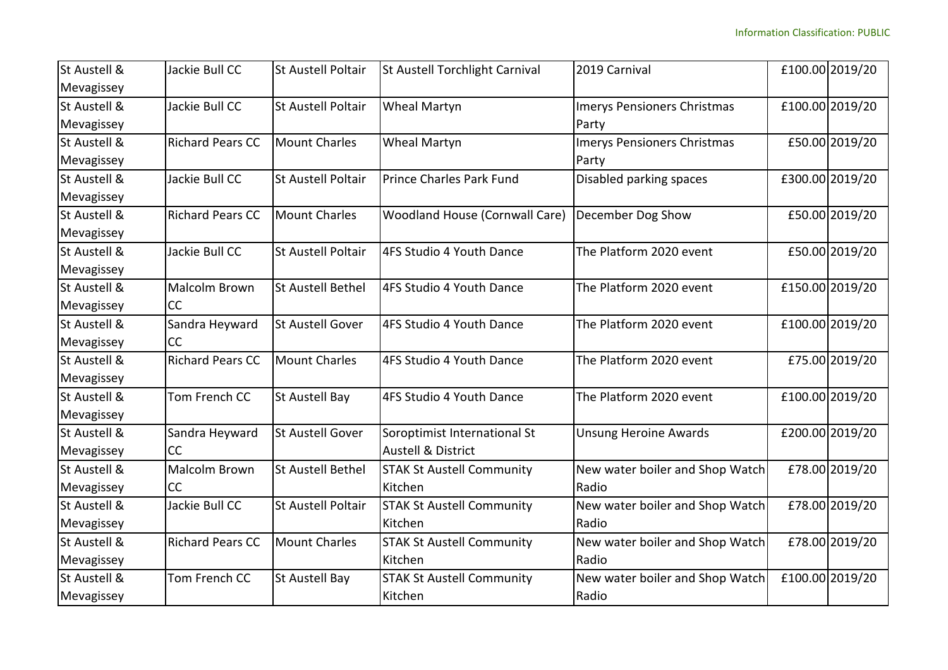| St Austell &            | Jackie Bull CC          | <b>St Austell Poltair</b> | St Austell Torchlight Carnival        | 2019 Carnival                   | £100.00 2019/20 |
|-------------------------|-------------------------|---------------------------|---------------------------------------|---------------------------------|-----------------|
| Mevagissey              |                         |                           |                                       |                                 |                 |
| <b>St Austell &amp;</b> | Jackie Bull CC          | <b>St Austell Poltair</b> | <b>Wheal Martyn</b>                   | Imerys Pensioners Christmas     | £100.00 2019/20 |
| Mevagissey              |                         |                           |                                       | Party                           |                 |
| St Austell &            | <b>Richard Pears CC</b> | <b>Mount Charles</b>      | Wheal Martyn                          | Imerys Pensioners Christmas     | £50.00 2019/20  |
| Mevagissey              |                         |                           |                                       | Party                           |                 |
| St Austell &            | Jackie Bull CC          | <b>St Austell Poltair</b> | <b>Prince Charles Park Fund</b>       | Disabled parking spaces         | £300.00 2019/20 |
| Mevagissey              |                         |                           |                                       |                                 |                 |
| St Austell &            | <b>Richard Pears CC</b> | <b>Mount Charles</b>      | <b>Woodland House (Cornwall Care)</b> | December Dog Show               | £50.00 2019/20  |
| Mevagissey              |                         |                           |                                       |                                 |                 |
| <b>St Austell &amp;</b> | Jackie Bull CC          | <b>St Austell Poltair</b> | 4FS Studio 4 Youth Dance              | The Platform 2020 event         | £50.00 2019/20  |
| Mevagissey              |                         |                           |                                       |                                 |                 |
| <b>St Austell &amp;</b> | <b>Malcolm Brown</b>    | <b>St Austell Bethel</b>  | 4FS Studio 4 Youth Dance              | The Platform 2020 event         | £150.00 2019/20 |
| Mevagissey              | <b>CC</b>               |                           |                                       |                                 |                 |
| St Austell &            | Sandra Heyward          | <b>St Austell Gover</b>   | 4FS Studio 4 Youth Dance              | The Platform 2020 event         | £100.00 2019/20 |
| Mevagissey              | <b>CC</b>               |                           |                                       |                                 |                 |
| St Austell &            | <b>Richard Pears CC</b> | <b>Mount Charles</b>      | 4FS Studio 4 Youth Dance              | The Platform 2020 event         | £75.00 2019/20  |
| Mevagissey              |                         |                           |                                       |                                 |                 |
| St Austell &            | Tom French CC           | <b>St Austell Bay</b>     | 4FS Studio 4 Youth Dance              | The Platform 2020 event         | £100.00 2019/20 |
| Mevagissey              |                         |                           |                                       |                                 |                 |
| <b>St Austell &amp;</b> | Sandra Heyward          | <b>St Austell Gover</b>   | Soroptimist International St          | <b>Unsung Heroine Awards</b>    | £200.00 2019/20 |
| Mevagissey              | <b>CC</b>               |                           | <b>Austell &amp; District</b>         |                                 |                 |
| St Austell &            | Malcolm Brown           | <b>St Austell Bethel</b>  | <b>STAK St Austell Community</b>      | New water boiler and Shop Watch | £78.00 2019/20  |
| Mevagissey              | <b>CC</b>               |                           | Kitchen                               | Radio                           |                 |
| St Austell &            | Jackie Bull CC          | <b>St Austell Poltair</b> | <b>STAK St Austell Community</b>      | New water boiler and Shop Watch | £78.00 2019/20  |
| Mevagissey              |                         |                           | Kitchen                               | Radio                           |                 |
| St Austell &            | <b>Richard Pears CC</b> | <b>Mount Charles</b>      | <b>STAK St Austell Community</b>      | New water boiler and Shop Watch | £78.00 2019/20  |
| Mevagissey              |                         |                           | Kitchen                               | Radio                           |                 |
| St Austell &            | Tom French CC           | <b>St Austell Bay</b>     | <b>STAK St Austell Community</b>      | New water boiler and Shop Watch | £100.00 2019/20 |
| Mevagissey              |                         |                           | Kitchen                               | Radio                           |                 |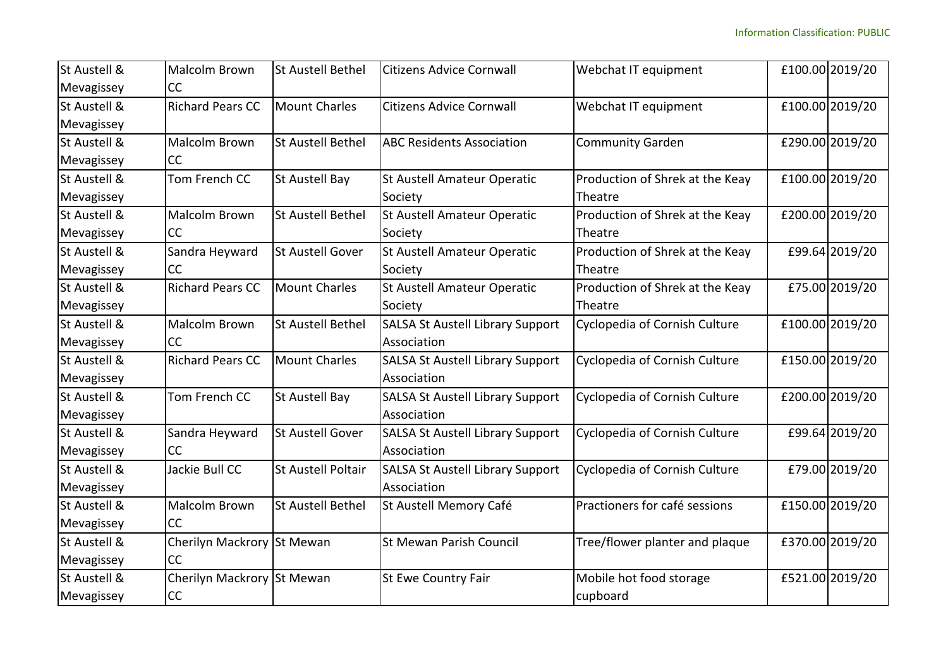| St Austell &            | Malcolm Brown              | <b>St Austell Bethel</b>  | <b>Citizens Advice Cornwall</b>         | Webchat IT equipment            | £100.00 2019/20 |
|-------------------------|----------------------------|---------------------------|-----------------------------------------|---------------------------------|-----------------|
| Mevagissey              | CC                         |                           |                                         |                                 |                 |
| <b>St Austell &amp;</b> | <b>Richard Pears CC</b>    | <b>Mount Charles</b>      | <b>Citizens Advice Cornwall</b>         | Webchat IT equipment            | £100.00 2019/20 |
| Mevagissey              |                            |                           |                                         |                                 |                 |
| St Austell &            | <b>Malcolm Brown</b>       | <b>St Austell Bethel</b>  | <b>ABC Residents Association</b>        | <b>Community Garden</b>         | £290.00 2019/20 |
| Mevagissey              | CC                         |                           |                                         |                                 |                 |
| <b>St Austell &amp;</b> | Tom French CC              | <b>St Austell Bay</b>     | <b>St Austell Amateur Operatic</b>      | Production of Shrek at the Keay | £100.00 2019/20 |
| Mevagissey              |                            |                           | Society                                 | Theatre                         |                 |
| <b>St Austell &amp;</b> | Malcolm Brown              | <b>St Austell Bethel</b>  | <b>St Austell Amateur Operatic</b>      | Production of Shrek at the Keay | £200.00 2019/20 |
| Mevagissey              | <b>CC</b>                  |                           | Society                                 | Theatre                         |                 |
| <b>St Austell &amp;</b> | Sandra Heyward             | <b>St Austell Gover</b>   | <b>St Austell Amateur Operatic</b>      | Production of Shrek at the Keay | £99.64 2019/20  |
| Mevagissey              | <b>CC</b>                  |                           | Society                                 | Theatre                         |                 |
| St Austell &            | <b>Richard Pears CC</b>    | <b>Mount Charles</b>      | <b>St Austell Amateur Operatic</b>      | Production of Shrek at the Keay | £75.00 2019/20  |
| Mevagissey              |                            |                           | Society                                 | Theatre                         |                 |
| St Austell &            | <b>Malcolm Brown</b>       | <b>St Austell Bethel</b>  | <b>SALSA St Austell Library Support</b> | Cyclopedia of Cornish Culture   | £100.00 2019/20 |
| Mevagissey              | <b>CC</b>                  |                           | Association                             |                                 |                 |
| <b>St Austell &amp;</b> | <b>Richard Pears CC</b>    | <b>Mount Charles</b>      | <b>SALSA St Austell Library Support</b> | Cyclopedia of Cornish Culture   | £150.00 2019/20 |
| Mevagissey              |                            |                           | Association                             |                                 |                 |
| St Austell &            | Tom French CC              | <b>St Austell Bay</b>     | <b>SALSA St Austell Library Support</b> | Cyclopedia of Cornish Culture   | £200.00 2019/20 |
| Mevagissey              |                            |                           | Association                             |                                 |                 |
| <b>St Austell &amp;</b> | Sandra Heyward             | <b>St Austell Gover</b>   | <b>SALSA St Austell Library Support</b> | Cyclopedia of Cornish Culture   | £99.64 2019/20  |
| Mevagissey              | <b>CC</b>                  |                           | Association                             |                                 |                 |
| <b>St Austell &amp;</b> | Jackie Bull CC             | <b>St Austell Poltair</b> | <b>SALSA St Austell Library Support</b> | Cyclopedia of Cornish Culture   | £79.00 2019/20  |
| Mevagissey              |                            |                           | Association                             |                                 |                 |
| <b>St Austell &amp;</b> | Malcolm Brown              | <b>St Austell Bethel</b>  | St Austell Memory Café                  | Practioners for café sessions   | £150.00 2019/20 |
| Mevagissey              | <b>CC</b>                  |                           |                                         |                                 |                 |
| <b>St Austell &amp;</b> | Cherilyn Mackrory St Mewan |                           | <b>St Mewan Parish Council</b>          | Tree/flower planter and plaque  | £370.00 2019/20 |
| Mevagissey              | <b>CC</b>                  |                           |                                         |                                 |                 |
| <b>St Austell &amp;</b> | Cherilyn Mackrory St Mewan |                           | <b>St Ewe Country Fair</b>              | Mobile hot food storage         | £521.00 2019/20 |
| Mevagissey              | <b>CC</b>                  |                           |                                         | cupboard                        |                 |